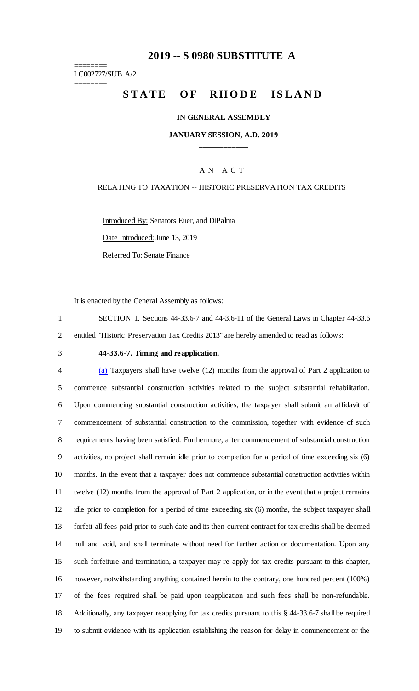## **-- S 0980 SUBSTITUTE A**

======== LC002727/SUB A/2 ========

# STATE OF RHODE ISLAND

### **IN GENERAL ASSEMBLY**

### **JANUARY SESSION, A.D. 2019 \_\_\_\_\_\_\_\_\_\_\_\_**

### A N A C T

#### RELATING TO TAXATION -- HISTORIC PRESERVATION TAX CREDITS

Introduced By: Senators Euer, and DiPalma Date Introduced: June 13, 2019 Referred To: Senate Finance

It is enacted by the General Assembly as follows:

 SECTION 1. Sections 44-33.6-7 and 44-3.6-11 of the General Laws in Chapter 44-33.6 entitled "Historic Preservation Tax Credits 2013" are hereby amended to read as follows:

#### **44-33.6-7. Timing and reapplication.**

 (a) Taxpayers shall have twelve (12) months from the approval of Part 2 application to commence substantial construction activities related to the subject substantial rehabilitation. Upon commencing substantial construction activities, the taxpayer shall submit an affidavit of commencement of substantial construction to the commission, together with evidence of such requirements having been satisfied. Furthermore, after commencement of substantial construction activities, no project shall remain idle prior to completion for a period of time exceeding six (6) months. In the event that a taxpayer does not commence substantial construction activities within twelve (12) months from the approval of Part 2 application, or in the event that a project remains idle prior to completion for a period of time exceeding six (6) months, the subject taxpayer shall forfeit all fees paid prior to such date and its then-current contract for tax credits shall be deemed null and void, and shall terminate without need for further action or documentation. Upon any such forfeiture and termination, a taxpayer may re-apply for tax credits pursuant to this chapter, however, notwithstanding anything contained herein to the contrary, one hundred percent (100%) of the fees required shall be paid upon reapplication and such fees shall be non-refundable. Additionally, any taxpayer reapplying for tax credits pursuant to this § 44-33.6-7 shall be required to submit evidence with its application establishing the reason for delay in commencement or the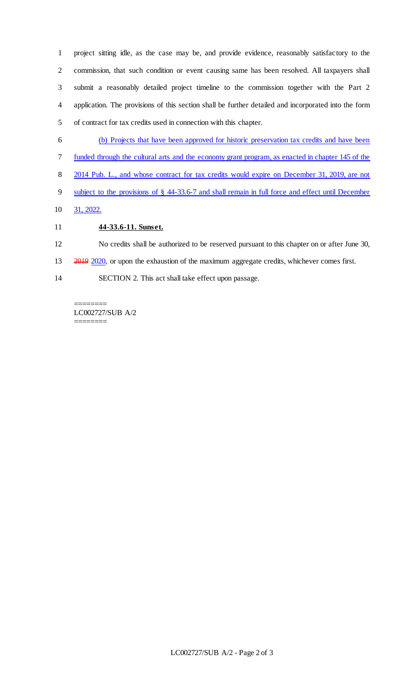project sitting idle, as the case may be, and provide evidence, reasonably satisfactory to the commission, that such condition or event causing same has been resolved. All taxpayers shall submit a reasonably detailed project timeline to the commission together with the Part 2 application. The provisions of this section shall be further detailed and incorporated into the form of contract for tax credits used in connection with this chapter.

- (b) Projects that have been approved for historic preservation tax credits and have been
- funded through the cultural arts and the economy grant program, as enacted in chapter 145 of the
- 2014 Pub. L., and whose contract for tax credits would expire on December 31, 2019, are not
- subject to the provisions of § 44-33.6-7 and shall remain in full force and effect until December
- 31, 2022.

## **44-33.6-11. Sunset.**

- No credits shall be authorized to be reserved pursuant to this chapter on or after June 30,
- 13 2019 2020, or upon the exhaustion of the maximum aggregate credits, whichever comes first.
- SECTION 2. This act shall take effect upon passage.

======== LC002727/SUB A/2 ========